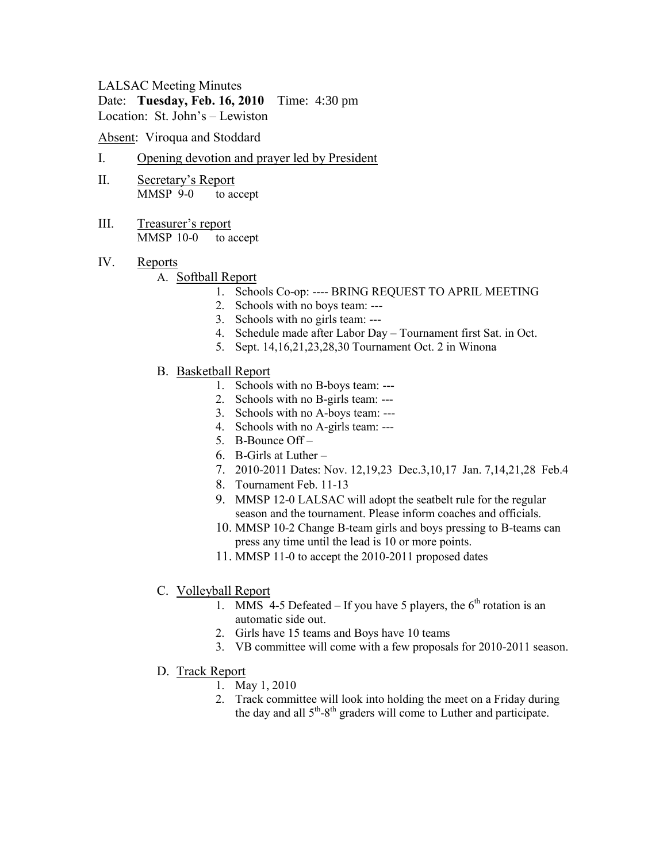# LALSAC Meeting Minutes

Date: **Tuesday, Feb. 16, 2010** Time: 4:30 pm Location: St. John's – Lewiston

Absent: Viroqua and Stoddard

- I. Opening devotion and prayer led by President
- II. Secretary's Report MMSP 9-0 to accept
- III. Treasurer's report MMSP 10-0 to accept
- IV. Reports

# A. Softball Report

- 1. Schools Co-op: ---- BRING REQUEST TO APRIL MEETING
- 2. Schools with no boys team: ---
- 3. Schools with no girls team: ---
- 4. Schedule made after Labor Day Tournament first Sat. in Oct.
- 5. Sept. 14,16,21,23,28,30 Tournament Oct. 2 in Winona
- B. Basketball Report
	- 1. Schools with no B-boys team: ---
	- 2. Schools with no B-girls team: ---
	- 3. Schools with no A-boys team: ---
	- 4. Schools with no A-girls team: ---
	- 5. B-Bounce Off –
	- 6. B-Girls at Luther –
	- 7. 2010-2011 Dates: Nov. 12,19,23 Dec.3,10,17 Jan. 7,14,21,28 Feb.4
	- 8. Tournament Feb. 11-13
	- 9. MMSP 12-0 LALSAC will adopt the seatbelt rule for the regular season and the tournament. Please inform coaches and officials.
	- 10. MMSP 10-2 Change B-team girls and boys pressing to B-teams can press any time until the lead is 10 or more points.
	- 11. MMSP 11-0 to accept the 2010-2011 proposed dates
- C. Volleyball Report
	- 1. MMS 4-5 Defeated If you have 5 players, the  $6<sup>th</sup>$  rotation is an automatic side out.
	- 2. Girls have 15 teams and Boys have 10 teams
	- 3. VB committee will come with a few proposals for 2010-2011 season.
- D. Track Report
	- 1. May 1, 2010
	- 2. Track committee will look into holding the meet on a Friday during the day and all  $5<sup>th</sup> - 8<sup>th</sup>$  graders will come to Luther and participate.